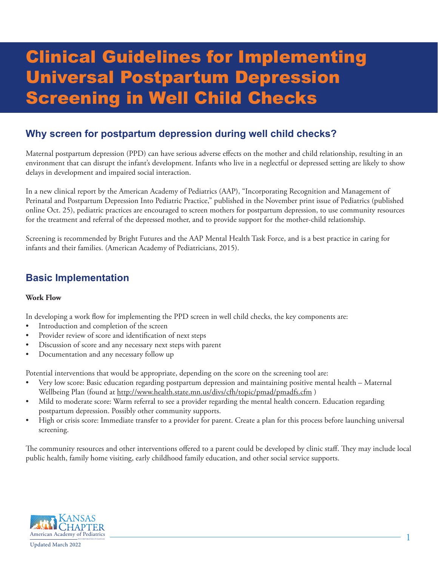# Clinical Guidelines for Implementing Universal Postpartum Depression Screening in Well Child Checks

## **Why screen for postpartum depression during well child checks?**

Maternal postpartum depression (PPD) can have serious adverse effects on the mother and child relationship, resulting in an environment that can disrupt the infant's development. Infants who live in a neglectful or depressed setting are likely to show delays in development and impaired social interaction.

In a new clinical report by the American Academy of Pediatrics (AAP), "Incorporating Recognition and Management of Perinatal and Postpartum Depression Into Pediatric Practice," published in the November print issue of Pediatrics (published online Oct. 25), pediatric practices are encouraged to screen mothers for postpartum depression, to use community resources for the treatment and referral of the depressed mother, and to provide support for the mother-child relationship.

Screening is recommended by Bright Futures and the AAP Mental Health Task Force, and is a best practice in caring for infants and their families. (American Academy of Pediatricians, 2015).

## **Basic Implementation**

#### **Work Flow**

In developing a work flow for implementing the PPD screen in well child checks, the key components are:

- Introduction and completion of the screen
- Provider review of score and identification of next steps
- Discussion of score and any necessary next steps with parent
- Documentation and any necessary follow up

Potential interventions that would be appropriate, depending on the score on the screening tool are:

- Very low score: Basic education regarding postpartum depression and maintaining positive mental health Maternal Wellbeing Plan (found at http://www.health.state.mn.us/divs/cfh/topic/pmad/pmadfs.cfm )
- Mild to moderate score: Warm referral to see a provider regarding the mental health concern. Education regarding postpartum depression. Possibly other community supports.
- High or crisis score: Immediate transfer to a provider for parent. Create a plan for this process before launching universal screening.

The community resources and other interventions offered to a parent could be developed by clinic staff. They may include local public health, family home visiting, early childhood family education, and other social service supports.

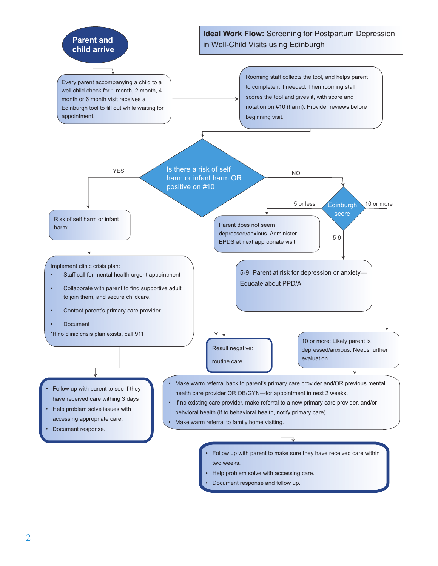

- two weeks.
- Help problem solve with accessing care.
	- Document response and follow up.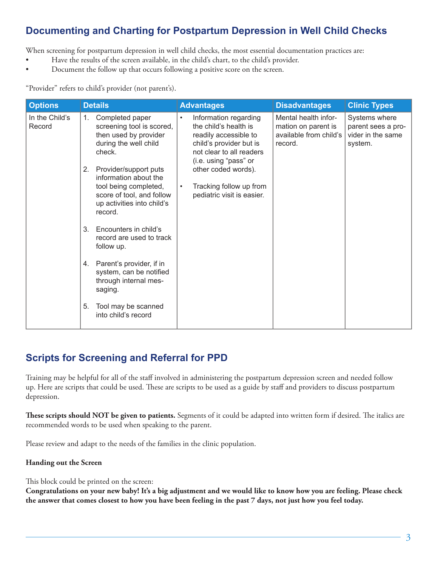# **Documenting and Charting for Postpartum Depression in Well Child Checks**

When screening for postpartum depression in well child checks, the most essential documentation practices are:

- Have the results of the screen available, in the child's chart, to the child's provider.
- Document the follow up that occurs following a positive score on the screen.

"Provider" refers to child's provider (not parent's).

| <b>Options</b>           | <b>Details</b>                                                                                                                                                                                                                                                                                                                                                                                                                                                                                   | <b>Advantages</b>                                                                                                                                                                                                                                                 | <b>Disadvantages</b>                                                             | <b>Clinic Types</b>                                                 |
|--------------------------|--------------------------------------------------------------------------------------------------------------------------------------------------------------------------------------------------------------------------------------------------------------------------------------------------------------------------------------------------------------------------------------------------------------------------------------------------------------------------------------------------|-------------------------------------------------------------------------------------------------------------------------------------------------------------------------------------------------------------------------------------------------------------------|----------------------------------------------------------------------------------|---------------------------------------------------------------------|
| In the Child's<br>Record | Completed paper<br>1.<br>screening tool is scored,<br>then used by provider<br>during the well child<br>check.<br>Provider/support puts<br>2.<br>information about the<br>tool being completed,<br>score of tool, and follow<br>up activities into child's<br>record.<br>Encounters in child's<br>3.<br>record are used to track<br>follow up.<br>4. Parent's provider, if in<br>system, can be notified<br>through internal mes-<br>saging.<br>Tool may be scanned<br>5.<br>into child's record | Information regarding<br>$\bullet$<br>the child's health is<br>readily accessible to<br>child's provider but is<br>not clear to all readers<br>(i.e. using "pass" or<br>other coded words).<br>Tracking follow up from<br>$\bullet$<br>pediatric visit is easier. | Mental health infor-<br>mation on parent is<br>available from child's<br>record. | Systems where<br>parent sees a pro-<br>vider in the same<br>system. |

### **Scripts for Screening and Referral for PPD**

Training may be helpful for all of the staff involved in administering the postpartum depression screen and needed follow up. Here are scripts that could be used. These are scripts to be used as a guide by staff and providers to discuss postpartum depression.

**These scripts should NOT be given to patients.** Segments of it could be adapted into written form if desired. The italics are recommended words to be used when speaking to the parent.

Please review and adapt to the needs of the families in the clinic population.

#### **Handing out the Screen**

This block could be printed on the screen:

**Congratulations on your new baby! It's a big adjustment and we would like to know how you are feeling. Please check the answer that comes closest to how you have been feeling in the past 7 days, not just how you feel today.**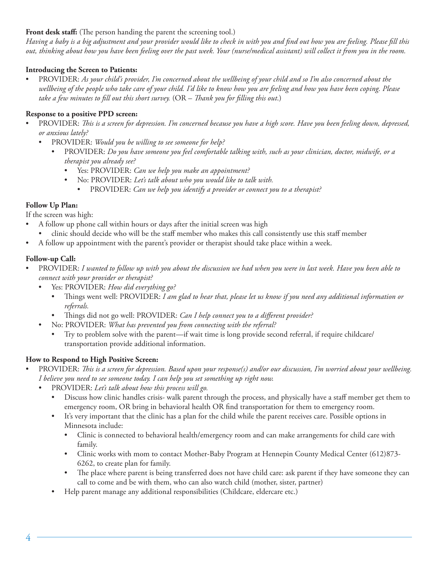#### Front desk staff: (The person handing the parent the screening tool.)

*Having a baby is a big adjustment and your provider would like to check in with you and find out how you are feeling. Please fill this out, thinking about how you have been feeling over the past week. Your (nurse/medical assistant) will collect it from you in the room.* 

#### **Introducing the Screen to Patients:**

• PROVIDER: *As your child's provider, I'm concerned about the wellbeing of your child and so I'm also concerned about the wellbeing of the people who take care of your child. I'd like to know how you are feeling and how you have been coping. Please take a few minutes to fill out this short survey.* (OR – *Thank you for filling this out*.)

#### **Response to a positive PPD screen:**

- PROVIDER: *This is a screen for depression. I'm concerned because you have a high score. Have you been feeling down, depressed, or anxious lately?*
	- PROVIDER: *Would you be willing to see someone for help?*
		- PROVIDER: *Do you have someone you feel comfortable talking with, such as your clinician, doctor, midwife, or a therapist you already see?*
			- Yes: PROVIDER: *Can we help you make an appointment?*
			- No: PROVIDER: *Let's talk about who you would like to talk with.*
				- PROVIDER: *Can we help you identify a provider or connect you to a therapist?*

#### **Follow Up Plan:**

If the screen was high:

- A follow up phone call within hours or days after the initial screen was high
	- clinic should decide who will be the staff member who makes this call consistently use this staff member
- A follow up appointment with the parent's provider or therapist should take place within a week.

#### **Follow-up Call:**

- PROVIDER: *I wanted to follow up with you about the discussion we had when you were in last week. Have you been able to connect with your provider or therapist?*
	- Yes: PROVIDER: *How did everything go?*
		- Things went well: PROVIDER: *I am glad to hear that, please let us know if you need any additional information or referrals.*
		- Things did not go well: PROVIDER: *Can I help connect you to a different provider?*
	- No: PROVIDER: *What has prevented you from connecting with the referral?*
		- Try to problem solve with the parent—if wait time is long provide second referral, if require childcare/ transportation provide additional information.

#### **How to Respond to High Positive Screen:**

- PROVIDER: *This is a screen for depression. Based upon your response(s) and/or our discussion, I'm worried about your wellbeing. I believe you need to see someone today. I can help you set something up right now.*
	- PROVIDER: *Let's talk about how this process will go.*
		- Discuss how clinic handles crisis- walk parent through the process, and physically have a staff member get them to emergency room, OR bring in behavioral health OR find transportation for them to emergency room.
		- It's very important that the clinic has a plan for the child while the parent receives care. Possible options in Minnesota include:
			- Clinic is connected to behavioral health/emergency room and can make arrangements for child care with family.
			- Clinic works with mom to contact Mother-Baby Program at Hennepin County Medical Center (612)873-6262, to create plan for family.
			- The place where parent is being transferred does not have child care: ask parent if they have someone they can call to come and be with them, who can also watch child (mother, sister, partner)
		- Help parent manage any additional responsibilities (Childcare, eldercare etc.)